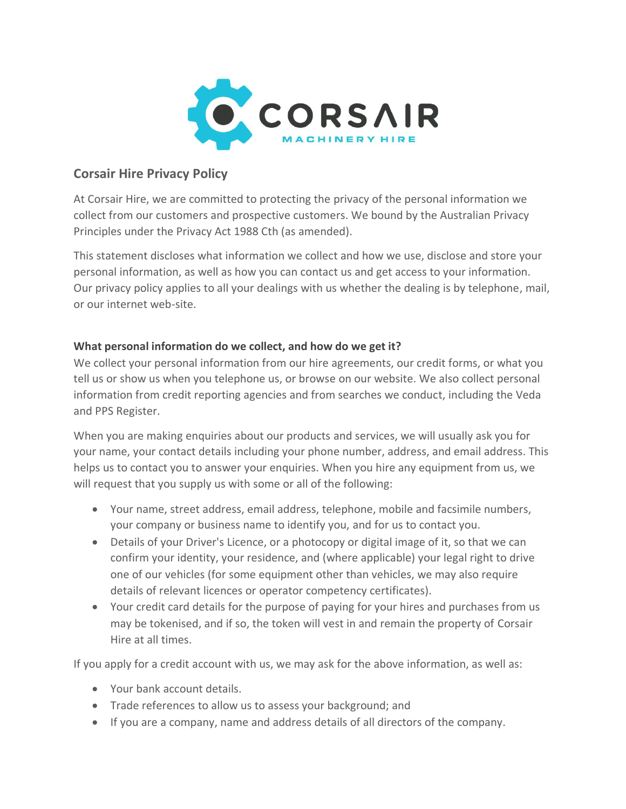

# **Corsair Hire Privacy Policy**

At Corsair Hire, we are committed to protecting the privacy of the personal information we collect from our customers and prospective customers. We bound by the Australian Privacy Principles under the Privacy Act 1988 Cth (as amended).

This statement discloses what information we collect and how we use, disclose and store your personal information, as well as how you can contact us and get access to your information. Our privacy policy applies to all your dealings with us whether the dealing is by telephone, mail, or our internet web-site.

## **What personal information do we collect, and how do we get it?**

We collect your personal information from our hire agreements, our credit forms, or what you tell us or show us when you telephone us, or browse on our website. We also collect personal information from credit reporting agencies and from searches we conduct, including the Veda and PPS Register.

When you are making enquiries about our products and services, we will usually ask you for your name, your contact details including your phone number, address, and email address. This helps us to contact you to answer your enquiries. When you hire any equipment from us, we will request that you supply us with some or all of the following:

- Your name, street address, email address, telephone, mobile and facsimile numbers, your company or business name to identify you, and for us to contact you.
- Details of your Driver's Licence, or a photocopy or digital image of it, so that we can confirm your identity, your residence, and (where applicable) your legal right to drive one of our vehicles (for some equipment other than vehicles, we may also require details of relevant licences or operator competency certificates).
- Your credit card details for the purpose of paying for your hires and purchases from us may be tokenised, and if so, the token will vest in and remain the property of Corsair Hire at all times.

If you apply for a credit account with us, we may ask for the above information, as well as:

- Your bank account details.
- Trade references to allow us to assess your background; and
- If you are a company, name and address details of all directors of the company.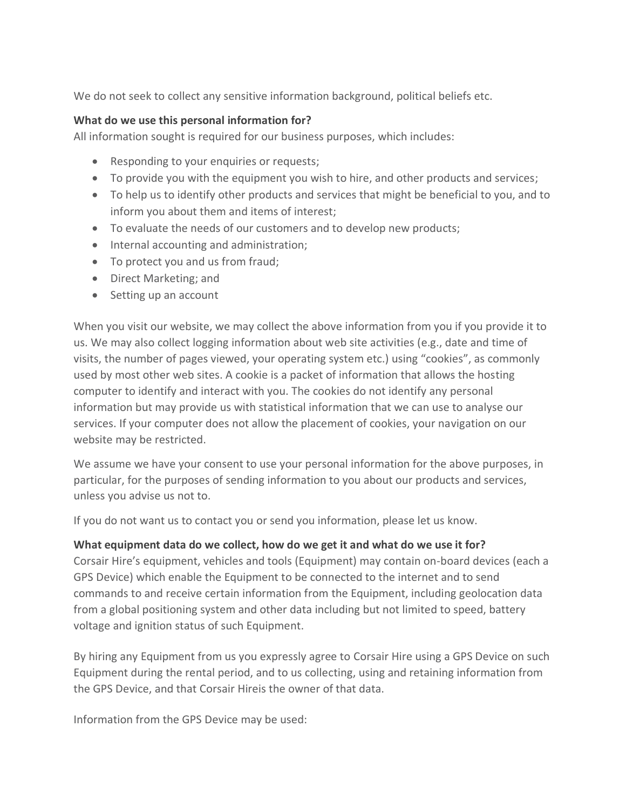We do not seek to collect any sensitive information background, political beliefs etc.

#### **What do we use this personal information for?**

All information sought is required for our business purposes, which includes:

- Responding to your enquiries or requests;
- To provide you with the equipment you wish to hire, and other products and services;
- To help us to identify other products and services that might be beneficial to you, and to inform you about them and items of interest;
- To evaluate the needs of our customers and to develop new products;
- Internal accounting and administration;
- To protect you and us from fraud;
- Direct Marketing; and
- Setting up an account

When you visit our website, we may collect the above information from you if you provide it to us. We may also collect logging information about web site activities (e.g., date and time of visits, the number of pages viewed, your operating system etc.) using "cookies", as commonly used by most other web sites. A cookie is a packet of information that allows the hosting computer to identify and interact with you. The cookies do not identify any personal information but may provide us with statistical information that we can use to analyse our services. If your computer does not allow the placement of cookies, your navigation on our website may be restricted.

We assume we have your consent to use your personal information for the above purposes, in particular, for the purposes of sending information to you about our products and services, unless you advise us not to.

If you do not want us to contact you or send you information, please let us know.

#### **What equipment data do we collect, how do we get it and what do we use it for?**

Corsair Hire's equipment, vehicles and tools (Equipment) may contain on-board devices (each a GPS Device) which enable the Equipment to be connected to the internet and to send commands to and receive certain information from the Equipment, including geolocation data from a global positioning system and other data including but not limited to speed, battery voltage and ignition status of such Equipment.

By hiring any Equipment from us you expressly agree to Corsair Hire using a GPS Device on such Equipment during the rental period, and to us collecting, using and retaining information from the GPS Device, and that Corsair Hireis the owner of that data.

Information from the GPS Device may be used: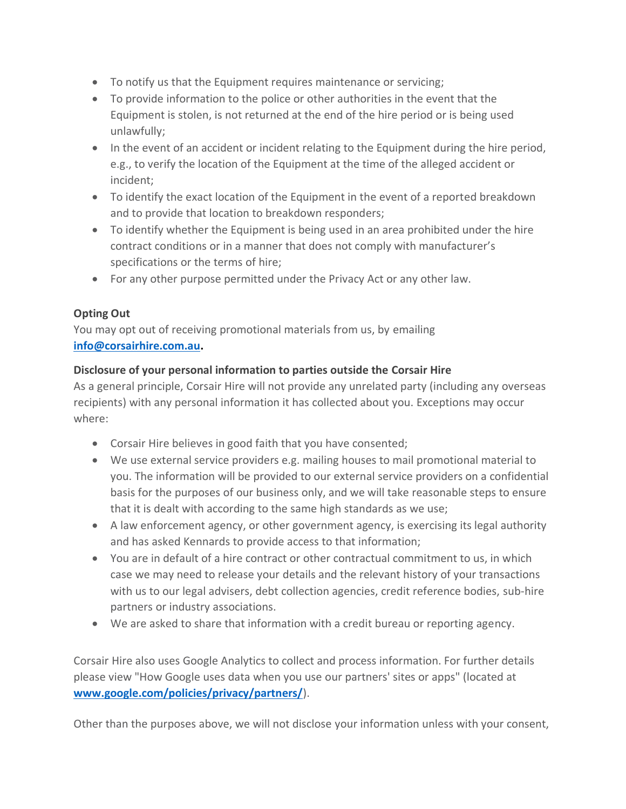- To notify us that the Equipment requires maintenance or servicing;
- To provide information to the police or other authorities in the event that the Equipment is stolen, is not returned at the end of the hire period or is being used unlawfully;
- In the event of an accident or incident relating to the Equipment during the hire period, e.g., to verify the location of the Equipment at the time of the alleged accident or incident;
- To identify the exact location of the Equipment in the event of a reported breakdown and to provide that location to breakdown responders;
- To identify whether the Equipment is being used in an area prohibited under the hire contract conditions or in a manner that does not comply with manufacturer's specifications or the terms of hire;
- For any other purpose permitted under the Privacy Act or any other law.

## **Opting Out**

You may opt out of receiving promotional materials from us, by emailing **[info@corsairhire.com.au.](mailto:info@corsairhire.com.au)**

## **Disclosure of your personal information to parties outside the Corsair Hire**

As a general principle, Corsair Hire will not provide any unrelated party (including any overseas recipients) with any personal information it has collected about you. Exceptions may occur where:

- Corsair Hire believes in good faith that you have consented;
- We use external service providers e.g. mailing houses to mail promotional material to you. The information will be provided to our external service providers on a confidential basis for the purposes of our business only, and we will take reasonable steps to ensure that it is dealt with according to the same high standards as we use;
- A law enforcement agency, or other government agency, is exercising its legal authority and has asked Kennards to provide access to that information;
- You are in default of a hire contract or other contractual commitment to us, in which case we may need to release your details and the relevant history of your transactions with us to our legal advisers, debt collection agencies, credit reference bodies, sub-hire partners or industry associations.
- We are asked to share that information with a credit bureau or reporting agency.

Corsair Hire also uses Google Analytics to collect and process information. For further details please view "How Google uses data when you use our partners' sites or apps" (located at **[www.google.com/policies/privacy/partners/](http://www.google.com/policies/privacy/partners/)**).

Other than the purposes above, we will not disclose your information unless with your consent,